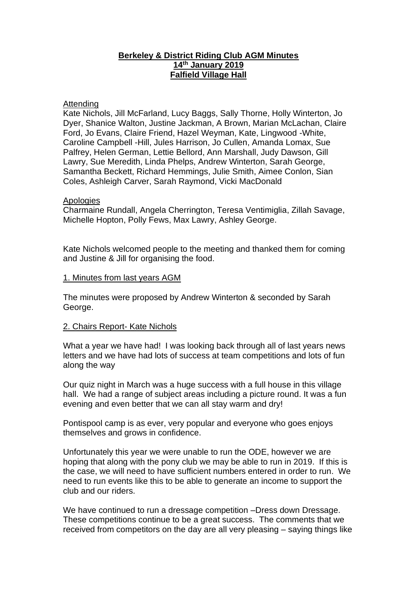## **Berkeley & District Riding Club AGM Minutes 14th January 2019 Falfield Village Hall**

#### **Attending**

Kate Nichols, Jill McFarland, Lucy Baggs, Sally Thorne, Holly Winterton, Jo Dyer, Shanice Walton, Justine Jackman, A Brown, Marian McLachan, Claire Ford, Jo Evans, Claire Friend, Hazel Weyman, Kate, Lingwood -White, Caroline Campbell -Hill, Jules Harrison, Jo Cullen, Amanda Lomax, Sue Palfrey, Helen German, Lettie Bellord, Ann Marshall, Judy Dawson, Gill Lawry, Sue Meredith, Linda Phelps, Andrew Winterton, Sarah George, Samantha Beckett, Richard Hemmings, Julie Smith, Aimee Conlon, Sian Coles, Ashleigh Carver, Sarah Raymond, Vicki MacDonald

## **Apologies**

Charmaine Rundall, Angela Cherrington, Teresa Ventimiglia, Zillah Savage, Michelle Hopton, Polly Fews, Max Lawry, Ashley George.

Kate Nichols welcomed people to the meeting and thanked them for coming and Justine & Jill for organising the food.

## 1. Minutes from last years AGM

The minutes were proposed by Andrew Winterton & seconded by Sarah George.

## 2. Chairs Report- Kate Nichols

What a year we have had! I was looking back through all of last years news letters and we have had lots of success at team competitions and lots of fun along the way

Our quiz night in March was a huge success with a full house in this village hall. We had a range of subject areas including a picture round. It was a fun evening and even better that we can all stay warm and dry!

Pontispool camp is as ever, very popular and everyone who goes enjoys themselves and grows in confidence.

Unfortunately this year we were unable to run the ODE, however we are hoping that along with the pony club we may be able to run in 2019. If this is the case, we will need to have sufficient numbers entered in order to run. We need to run events like this to be able to generate an income to support the club and our riders.

We have continued to run a dressage competition –Dress down Dressage. These competitions continue to be a great success. The comments that we received from competitors on the day are all very pleasing – saying things like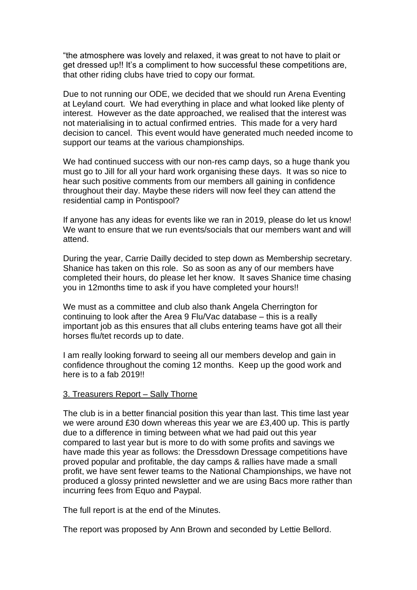"the atmosphere was lovely and relaxed, it was great to not have to plait or get dressed up!! It's a compliment to how successful these competitions are, that other riding clubs have tried to copy our format.

Due to not running our ODE, we decided that we should run Arena Eventing at Leyland court. We had everything in place and what looked like plenty of interest. However as the date approached, we realised that the interest was not materialising in to actual confirmed entries. This made for a very hard decision to cancel. This event would have generated much needed income to support our teams at the various championships.

We had continued success with our non-res camp days, so a huge thank you must go to Jill for all your hard work organising these days. It was so nice to hear such positive comments from our members all gaining in confidence throughout their day. Maybe these riders will now feel they can attend the residential camp in Pontispool?

If anyone has any ideas for events like we ran in 2019, please do let us know! We want to ensure that we run events/socials that our members want and will attend.

During the year, Carrie Dailly decided to step down as Membership secretary. Shanice has taken on this role. So as soon as any of our members have completed their hours, do please let her know. It saves Shanice time chasing you in 12months time to ask if you have completed your hours!!

We must as a committee and club also thank Angela Cherrington for continuing to look after the Area 9 Flu/Vac database – this is a really important job as this ensures that all clubs entering teams have got all their horses flu/tet records up to date.

I am really looking forward to seeing all our members develop and gain in confidence throughout the coming 12 months. Keep up the good work and here is to a fab 2019!!

#### 3. Treasurers Report – Sally Thorne

The club is in a better financial position this year than last. This time last year we were around £30 down whereas this year we are £3,400 up. This is partly due to a difference in timing between what we had paid out this year compared to last year but is more to do with some profits and savings we have made this year as follows: the Dressdown Dressage competitions have proved popular and profitable, the day camps & rallies have made a small profit, we have sent fewer teams to the National Championships, we have not produced a glossy printed newsletter and we are using Bacs more rather than incurring fees from Equo and Paypal.

The full report is at the end of the Minutes.

The report was proposed by Ann Brown and seconded by Lettie Bellord.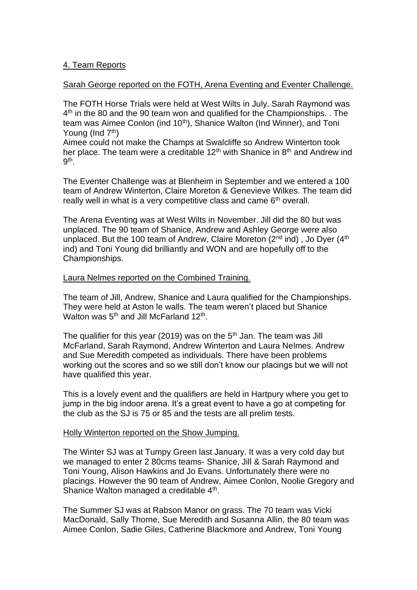## 4. Team Reports

## Sarah George reported on the FOTH, Arena Eventing and Eventer Challenge.

The FOTH Horse Trials were held at West Wilts in July. Sarah Raymond was 4<sup>th</sup> in the 80 and the 90 team won and qualified for the Championships. . The team was Aimee Conlon (ind 10<sup>th</sup>), Shanice Walton (Ind Winner), and Toni Young (Ind  $7<sup>th</sup>$ )

Aimee could not make the Champs at Swalcliffe so Andrew Winterton took her place. The team were a creditable 12<sup>th</sup> with Shanice in  $8<sup>th</sup>$  and Andrew ind 9<sup>th</sup>.

The Eventer Challenge was at Blenheim in September and we entered a 100 team of Andrew Winterton, Claire Moreton & Genevieve Wilkes. The team did really well in what is a very competitive class and came 6<sup>th</sup> overall.

The Arena Eventing was at West Wilts in November. Jill did the 80 but was unplaced. The 90 team of Shanice, Andrew and Ashley George were also unplaced. But the 100 team of Andrew, Claire Moreton  $(2^{nd}$  ind), Jo Dyer  $(4^{th}$ ind) and Toni Young did brilliantly and WON and are hopefully off to the Championships.

#### Laura Nelmes reported on the Combined Training.

The team of Jill, Andrew, Shanice and Laura qualified for the Championships. They were held at Aston le walls. The team weren't placed but Shanice Walton was  $5^{\text{th}}$  and Jill McFarland 12 $^{\text{th}}$ .

The qualifier for this year (2019) was on the  $5<sup>th</sup>$  Jan. The team was Jill McFarland, Sarah Raymond, Andrew Winterton and Laura Nelmes. Andrew and Sue Meredith competed as individuals. There have been problems working out the scores and so we still don't know our placings but we will not have qualified this year.

This is a lovely event and the qualifiers are held in Hartpury where you get to jump in the big indoor arena. It's a great event to have a go at competing for the club as the SJ is 75 or 85 and the tests are all prelim tests.

## Holly Winterton reported on the Show Jumping.

The Winter SJ was at Tumpy Green last January. It was a very cold day but we managed to enter 2 80cms teams- Shanice, Jill & Sarah Raymond and Toni Young, Alison Hawkins and Jo Evans. Unfortunately there were no placings. However the 90 team of Andrew, Aimee Conlon, Noolie Gregory and Shanice Walton managed a creditable 4<sup>th</sup>.

The Summer SJ was at Rabson Manor on grass. The 70 team was Vicki MacDonald, Sally Thorne, Sue Meredith and Susanna Allin, the 80 team was Aimee Conlon, Sadie Giles, Catherine Blackmore and Andrew, Toni Young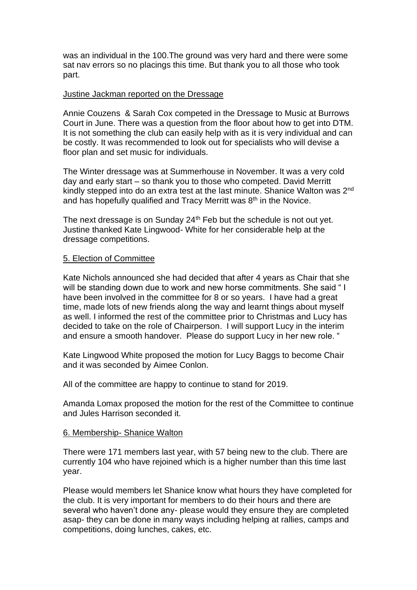was an individual in the 100.The ground was very hard and there were some sat nav errors so no placings this time. But thank you to all those who took part.

#### Justine Jackman reported on the Dressage

Annie Couzens & Sarah Cox competed in the Dressage to Music at Burrows Court in June. There was a question from the floor about how to get into DTM. It is not something the club can easily help with as it is very individual and can be costly. It was recommended to look out for specialists who will devise a floor plan and set music for individuals.

The Winter dressage was at Summerhouse in November. It was a very cold day and early start – so thank you to those who competed. David Merritt kindly stepped into do an extra test at the last minute. Shanice Walton was 2<sup>nd</sup> and has hopefully qualified and Tracy Merritt was  $8<sup>th</sup>$  in the Novice.

The next dressage is on Sunday  $24<sup>th</sup>$  Feb but the schedule is not out yet. Justine thanked Kate Lingwood- White for her considerable help at the dressage competitions.

## 5. Election of Committee

Kate Nichols announced she had decided that after 4 years as Chair that she will be standing down due to work and new horse commitments. She said "I have been involved in the committee for 8 or so years. I have had a great time, made lots of new friends along the way and learnt things about myself as well. I informed the rest of the committee prior to Christmas and Lucy has decided to take on the role of Chairperson. I will support Lucy in the interim and ensure a smooth handover. Please do support Lucy in her new role. "

Kate Lingwood White proposed the motion for Lucy Baggs to become Chair and it was seconded by Aimee Conlon.

All of the committee are happy to continue to stand for 2019.

Amanda Lomax proposed the motion for the rest of the Committee to continue and Jules Harrison seconded it.

## 6. Membership- Shanice Walton

There were 171 members last year, with 57 being new to the club. There are currently 104 who have rejoined which is a higher number than this time last year.

Please would members let Shanice know what hours they have completed for the club. It is very important for members to do their hours and there are several who haven't done any- please would they ensure they are completed asap- they can be done in many ways including helping at rallies, camps and competitions, doing lunches, cakes, etc.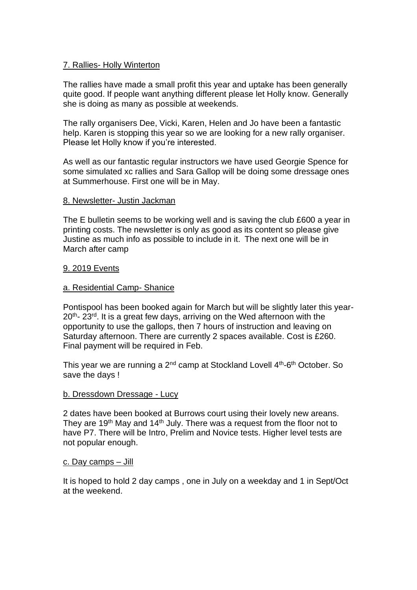## 7. Rallies- Holly Winterton

The rallies have made a small profit this year and uptake has been generally quite good. If people want anything different please let Holly know. Generally she is doing as many as possible at weekends.

The rally organisers Dee, Vicki, Karen, Helen and Jo have been a fantastic help. Karen is stopping this year so we are looking for a new rally organiser. Please let Holly know if you're interested.

As well as our fantastic regular instructors we have used Georgie Spence for some simulated xc rallies and Sara Gallop will be doing some dressage ones at Summerhouse. First one will be in May.

## 8. Newsletter- Justin Jackman

The E bulletin seems to be working well and is saving the club £600 a year in printing costs. The newsletter is only as good as its content so please give Justine as much info as possible to include in it. The next one will be in March after camp

## 9. 2019 Events

## a. Residential Camp- Shanice

Pontispool has been booked again for March but will be slightly later this year-20<sup>th</sup>- 23<sup>rd</sup>. It is a great few days, arriving on the Wed afternoon with the opportunity to use the gallops, then 7 hours of instruction and leaving on Saturday afternoon. There are currently 2 spaces available. Cost is £260. Final payment will be required in Feb.

This year we are running a 2<sup>nd</sup> camp at Stockland Lovell 4<sup>th</sup>-6<sup>th</sup> October. So save the days !

#### b. Dressdown Dressage - Lucy

2 dates have been booked at Burrows court using their lovely new areans. They are 19<sup>th</sup> May and 14<sup>th</sup> July. There was a request from the floor not to have P7. There will be Intro, Prelim and Novice tests. Higher level tests are not popular enough.

#### c. Day camps – Jill

It is hoped to hold 2 day camps , one in July on a weekday and 1 in Sept/Oct at the weekend.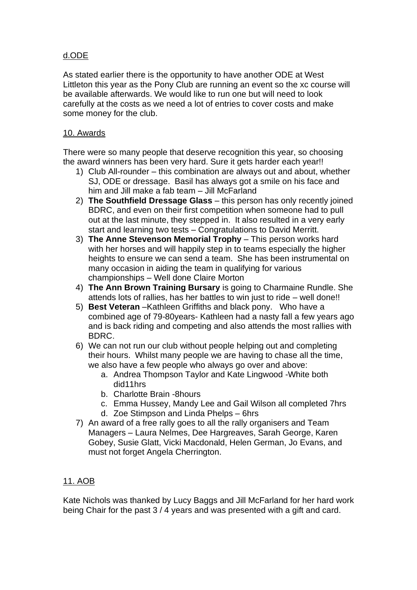# d.ODE

As stated earlier there is the opportunity to have another ODE at West Littleton this year as the Pony Club are running an event so the xc course will be available afterwards. We would like to run one but will need to look carefully at the costs as we need a lot of entries to cover costs and make some money for the club.

## 10. Awards

There were so many people that deserve recognition this year, so choosing the award winners has been very hard. Sure it gets harder each year!!

- 1) Club All-rounder this combination are always out and about, whether SJ, ODE or dressage. Basil has always got a smile on his face and him and Jill make a fab team – Jill McFarland
- 2) **The Southfield Dressage Glass** this person has only recently joined BDRC, and even on their first competition when someone had to pull out at the last minute, they stepped in. It also resulted in a very early start and learning two tests – Congratulations to David Merritt.
- 3) **The Anne Stevenson Memorial Trophy** This person works hard with her horses and will happily step in to teams especially the higher heights to ensure we can send a team. She has been instrumental on many occasion in aiding the team in qualifying for various championships – Well done Claire Morton
- 4) **The Ann Brown Training Bursary** is going to Charmaine Rundle. She attends lots of rallies, has her battles to win just to ride – well done!!
- 5) **Best Veteran** –Kathleen Griffiths and black pony. Who have a combined age of 79-80years- Kathleen had a nasty fall a few years ago and is back riding and competing and also attends the most rallies with BDRC.
- 6) We can not run our club without people helping out and completing their hours. Whilst many people we are having to chase all the time, we also have a few people who always go over and above:
	- a. Andrea Thompson Taylor and Kate Lingwood -White both did11hrs
	- b. Charlotte Brain -8hours
	- c. Emma Hussey, Mandy Lee and Gail Wilson all completed 7hrs
	- d. Zoe Stimpson and Linda Phelps 6hrs
- 7) An award of a free rally goes to all the rally organisers and Team Managers – Laura Nelmes, Dee Hargreaves, Sarah George, Karen Gobey, Susie Glatt, Vicki Macdonald, Helen German, Jo Evans, and must not forget Angela Cherrington.

## 11. AOB

Kate Nichols was thanked by Lucy Baggs and Jill McFarland for her hard work being Chair for the past 3 / 4 years and was presented with a gift and card.